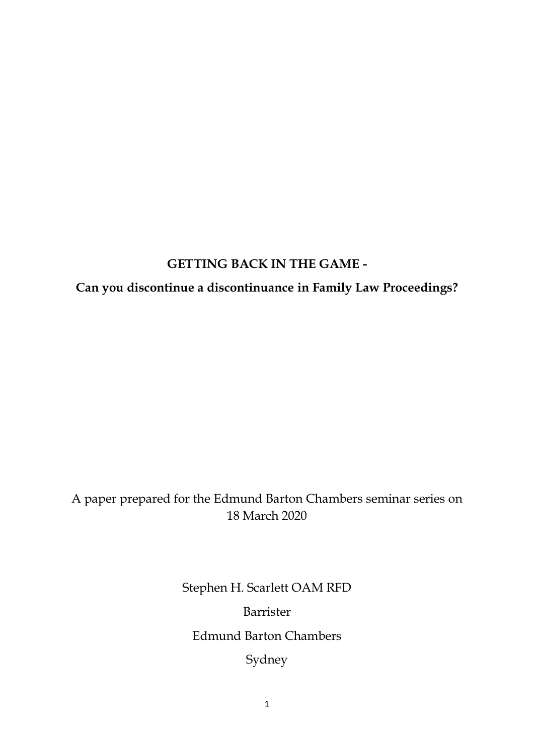### **GETTING BACK IN THE GAME -**

## **Can you discontinue a discontinuance in Family Law Proceedings?**

# A paper prepared for the Edmund Barton Chambers seminar series on 18 March 2020

Stephen H. Scarlett OAM RFD Barrister Edmund Barton Chambers Sydney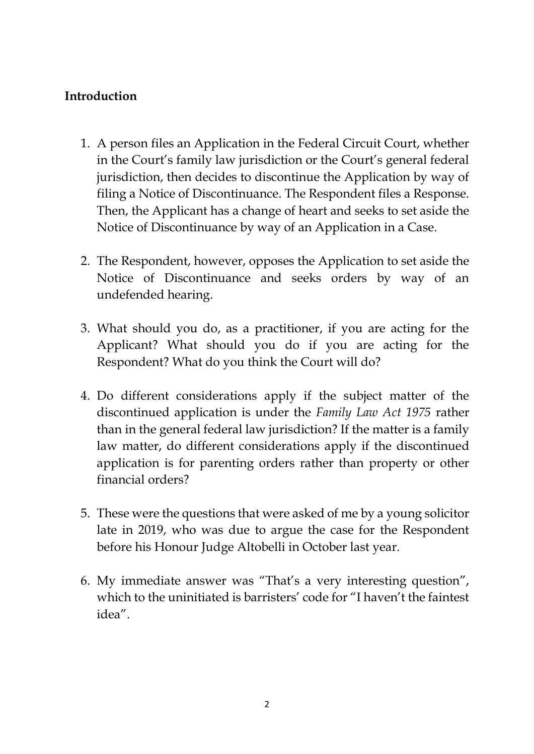### **Introduction**

- 1. A person files an Application in the Federal Circuit Court, whether in the Court's family law jurisdiction or the Court's general federal jurisdiction, then decides to discontinue the Application by way of filing a Notice of Discontinuance. The Respondent files a Response. Then, the Applicant has a change of heart and seeks to set aside the Notice of Discontinuance by way of an Application in a Case.
- 2. The Respondent, however, opposes the Application to set aside the Notice of Discontinuance and seeks orders by way of an undefended hearing.
- 3. What should you do, as a practitioner, if you are acting for the Applicant? What should you do if you are acting for the Respondent? What do you think the Court will do?
- 4. Do different considerations apply if the subject matter of the discontinued application is under the *Family Law Act 1975* rather than in the general federal law jurisdiction? If the matter is a family law matter, do different considerations apply if the discontinued application is for parenting orders rather than property or other financial orders?
- 5. These were the questions that were asked of me by a young solicitor late in 2019, who was due to argue the case for the Respondent before his Honour Judge Altobelli in October last year.
- 6. My immediate answer was "That's a very interesting question", which to the uninitiated is barristers' code for "I haven't the faintest idea".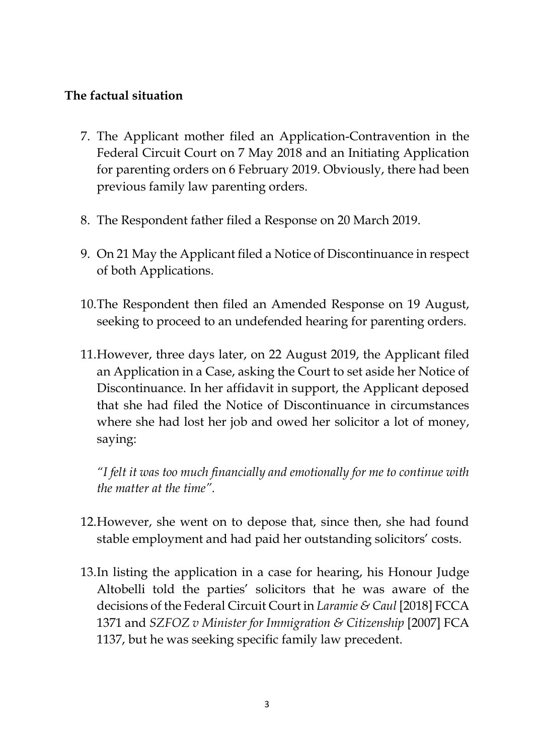#### **The factual situation**

- 7. The Applicant mother filed an Application-Contravention in the Federal Circuit Court on 7 May 2018 and an Initiating Application for parenting orders on 6 February 2019. Obviously, there had been previous family law parenting orders.
- 8. The Respondent father filed a Response on 20 March 2019.
- 9. On 21 May the Applicant filed a Notice of Discontinuance in respect of both Applications.
- 10.The Respondent then filed an Amended Response on 19 August, seeking to proceed to an undefended hearing for parenting orders.
- 11.However, three days later, on 22 August 2019, the Applicant filed an Application in a Case, asking the Court to set aside her Notice of Discontinuance. In her affidavit in support, the Applicant deposed that she had filed the Notice of Discontinuance in circumstances where she had lost her job and owed her solicitor a lot of money, saying:

*"I felt it was too much financially and emotionally for me to continue with the matter at the time".* 

- 12.However, she went on to depose that, since then, she had found stable employment and had paid her outstanding solicitors' costs.
- 13.In listing the application in a case for hearing, his Honour Judge Altobelli told the parties' solicitors that he was aware of the decisions of the Federal Circuit Court in *Laramie & Caul* [2018] FCCA 1371 and *SZFOZ v Minister for Immigration & Citizenship* [2007] FCA 1137, but he was seeking specific family law precedent.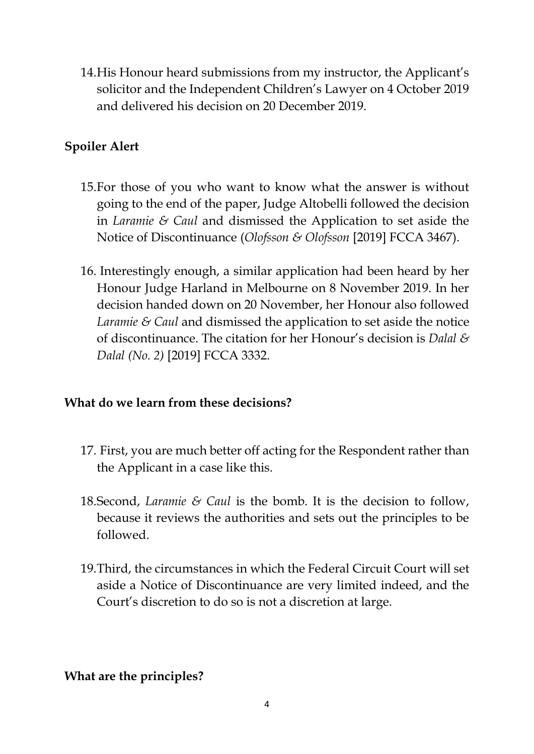14.His Honour heard submissions from my instructor, the Applicant's solicitor and the Independent Children's Lawyer on 4 October 2019 and delivered his decision on 20 December 2019.

### **Spoiler Alert**

- 15.For those of you who want to know what the answer is without going to the end of the paper, Judge Altobelli followed the decision in *Laramie & Caul* and dismissed the Application to set aside the Notice of Discontinuance (*Olofsson & Olofsson* [2019] FCCA 3467).
- 16. Interestingly enough, a similar application had been heard by her Honour Judge Harland in Melbourne on 8 November 2019. In her decision handed down on 20 November, her Honour also followed *Laramie & Caul* and dismissed the application to set aside the notice of discontinuance. The citation for her Honour's decision is *Dalal & Dalal (No. 2)* [2019] FCCA 3332.

#### **What do we learn from these decisions?**

- 17. First, you are much better off acting for the Respondent rather than the Applicant in a case like this.
- 18.Second, *Laramie & Caul* is the bomb. It is the decision to follow, because it reviews the authorities and sets out the principles to be followed.
- 19.Third, the circumstances in which the Federal Circuit Court will set aside a Notice of Discontinuance are very limited indeed, and the Court's discretion to do so is not a discretion at large.

#### **What are the principles?**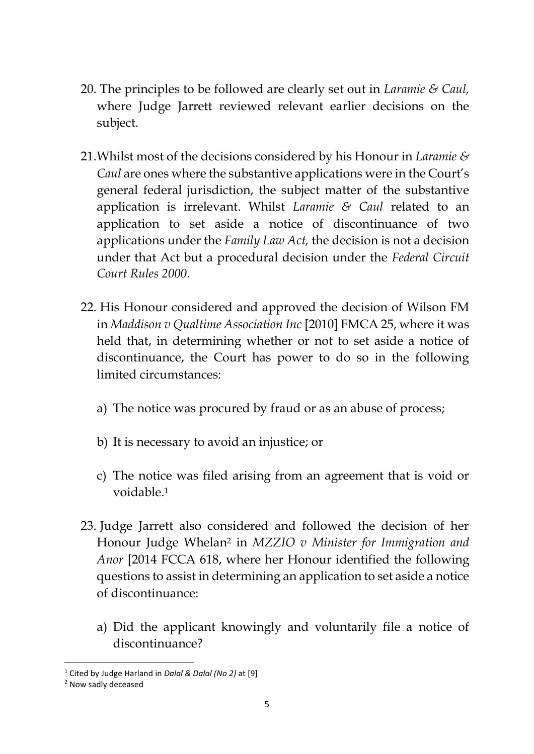- 20. The principles to be followed are clearly set out in *Laramie & Caul,*  where Judge Jarrett reviewed relevant earlier decisions on the subject.
- 21.Whilst most of the decisions considered by his Honour in *Laramie & Caul* are ones where the substantive applications were in the Court's general federal jurisdiction, the subject matter of the substantive application is irrelevant. Whilst *Laramie & Caul* related to an application to set aside a notice of discontinuance of two applications under the *Family Law Act,* the decision is not a decision under that Act but a procedural decision under the *Federal Circuit Court Rules 2000.*
- 22. His Honour considered and approved the decision of Wilson FM in *Maddison v Qualtime Association Inc* [2010] FMCA 25, where it was held that, in determining whether or not to set aside a notice of discontinuance, the Court has power to do so in the following limited circumstances:
	- a) The notice was procured by fraud or as an abuse of process;
	- b) It is necessary to avoid an injustice; or
	- c) The notice was filed arising from an agreement that is void or voidable.<sup>1</sup>
- 23. Judge Jarrett also considered and followed the decision of her Honour Judge Whelan<sup>2</sup> in *MZZIO v Minister for Immigration and Anor* [2014 FCCA 618, where her Honour identified the following questions to assist in determining an application to set aside a notice of discontinuance:
	- a) Did the applicant knowingly and voluntarily file a notice of discontinuance?

<sup>1</sup> Cited by Judge Harland in *Dalal & Dalal (No 2)* at [9]

<sup>2</sup> Now sadly deceased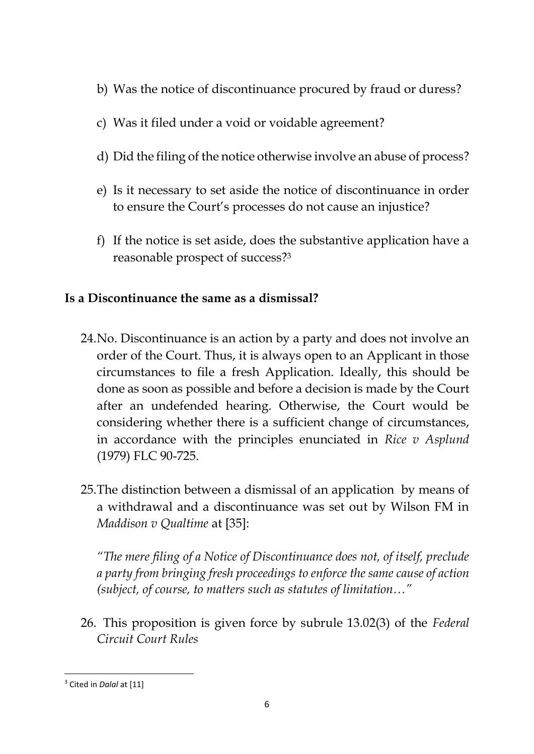- b) Was the notice of discontinuance procured by fraud or duress?
- c) Was it filed under a void or voidable agreement?
- d) Did the filing of the notice otherwise involve an abuse of process?
- e) Is it necessary to set aside the notice of discontinuance in order to ensure the Court's processes do not cause an injustice?
- f) If the notice is set aside, does the substantive application have a reasonable prospect of success?<sup>3</sup>

### **Is a Discontinuance the same as a dismissal?**

- 24.No. Discontinuance is an action by a party and does not involve an order of the Court. Thus, it is always open to an Applicant in those circumstances to file a fresh Application. Ideally, this should be done as soon as possible and before a decision is made by the Court after an undefended hearing. Otherwise, the Court would be considering whether there is a sufficient change of circumstances, in accordance with the principles enunciated in *Rice v Asplund*  (1979) FLC 90-725.
- 25.The distinction between a dismissal of an application by means of a withdrawal and a discontinuance was set out by Wilson FM in *Maddison v Qualtime* at [35]:

*"The mere filing of a Notice of Discontinuance does not, of itself, preclude a party from bringing fresh proceedings to enforce the same cause of action (subject, of course, to matters such as statutes of limitation…"* 

26. This proposition is given force by subrule 13.02(3) of the *Federal Circuit Court Rules*

<sup>&</sup>lt;sup>3</sup> Cited in *Dalal* at [11]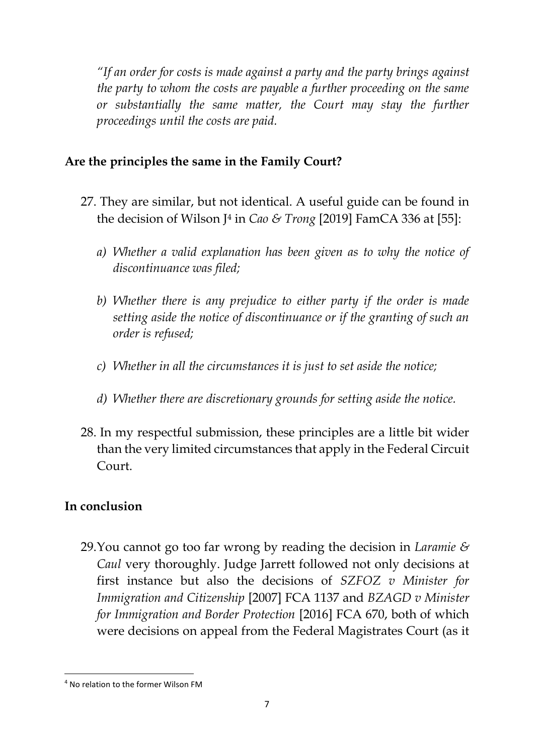*"If an order for costs is made against a party and the party brings against the party to whom the costs are payable a further proceeding on the same or substantially the same matter, the Court may stay the further proceedings until the costs are paid.*

### **Are the principles the same in the Family Court?**

- 27. They are similar, but not identical. A useful guide can be found in the decision of Wilson J<sup>4</sup> in *Cao & Trong* [2019] FamCA 336 at [55]:
	- *a) Whether a valid explanation has been given as to why the notice of discontinuance was filed;*
	- *b) Whether there is any prejudice to either party if the order is made setting aside the notice of discontinuance or if the granting of such an order is refused;*
	- *c) Whether in all the circumstances it is just to set aside the notice;*
	- *d) Whether there are discretionary grounds for setting aside the notice.*
- 28. In my respectful submission, these principles are a little bit wider than the very limited circumstances that apply in the Federal Circuit Court.

### **In conclusion**

29.You cannot go too far wrong by reading the decision in *Laramie & Caul* very thoroughly. Judge Jarrett followed not only decisions at first instance but also the decisions of *SZFOZ v Minister for Immigration and Citizenship* [2007] FCA 1137 and *BZAGD v Minister for Immigration and Border Protection* [2016] FCA 670, both of which were decisions on appeal from the Federal Magistrates Court (as it

<sup>4</sup> No relation to the former Wilson FM